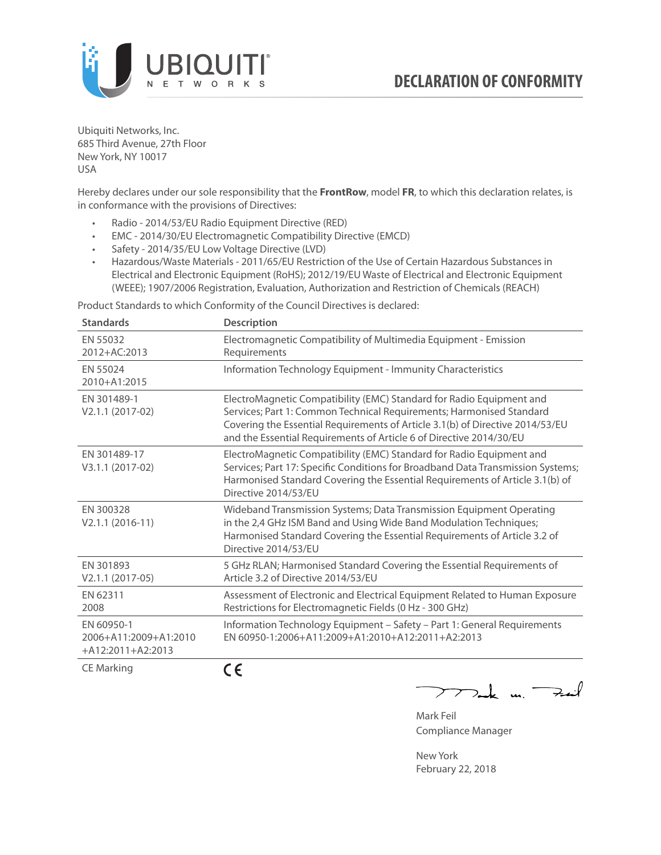

Ubiquiti Networks, Inc. 685 Third Avenue, 27th Floor New York, NY 10017 USA

Hereby declares under our sole responsibility that the **FrontRow**, model **FR**, to which this declaration relates, is in conformance with the provisions of Directives:

- Radio 2014/53/EU Radio Equipment Directive (RED)
- EMC 2014/30/EU Electromagnetic Compatibility Directive (EMCD)
- Safety 2014/35/EU Low Voltage Directive (LVD)
- Hazardous/Waste Materials 2011/65/EU Restriction of the Use of Certain Hazardous Substances in Electrical and Electronic Equipment (RoHS); 2012/19/EU Waste of Electrical and Electronic Equipment (WEEE); 1907/2006 Registration, Evaluation, Authorization and Restriction of Chemicals (REACH)

Product Standards to which Conformity of the Council Directives is declared:

| <b>Standards</b>                                           | <b>Description</b>                                                                                                                                                                                                                                                                                   |
|------------------------------------------------------------|------------------------------------------------------------------------------------------------------------------------------------------------------------------------------------------------------------------------------------------------------------------------------------------------------|
| EN 55032<br>2012+AC:2013                                   | Electromagnetic Compatibility of Multimedia Equipment - Emission<br>Requirements                                                                                                                                                                                                                     |
| EN 55024<br>2010+A1:2015                                   | Information Technology Equipment - Immunity Characteristics                                                                                                                                                                                                                                          |
| EN 301489-1<br>V2.1.1 (2017-02)                            | ElectroMagnetic Compatibility (EMC) Standard for Radio Equipment and<br>Services; Part 1: Common Technical Requirements; Harmonised Standard<br>Covering the Essential Requirements of Article 3.1(b) of Directive 2014/53/EU<br>and the Essential Requirements of Article 6 of Directive 2014/30/EU |
| EN 301489-17<br>V3.1.1 (2017-02)                           | ElectroMagnetic Compatibility (EMC) Standard for Radio Equipment and<br>Services; Part 17: Specific Conditions for Broadband Data Transmission Systems;<br>Harmonised Standard Covering the Essential Requirements of Article 3.1(b) of<br>Directive 2014/53/EU                                      |
| EN 300328<br>$V2.1.1 (2016-11)$                            | Wideband Transmission Systems; Data Transmission Equipment Operating<br>in the 2,4 GHz ISM Band and Using Wide Band Modulation Techniques;<br>Harmonised Standard Covering the Essential Requirements of Article 3.2 of<br>Directive 2014/53/EU                                                      |
| EN 301893<br>$V2.1.1 (2017-05)$                            | 5 GHz RLAN; Harmonised Standard Covering the Essential Requirements of<br>Article 3.2 of Directive 2014/53/EU                                                                                                                                                                                        |
| EN 62311<br>2008                                           | Assessment of Electronic and Electrical Equipment Related to Human Exposure<br>Restrictions for Electromagnetic Fields (0 Hz - 300 GHz)                                                                                                                                                              |
| EN 60950-1<br>2006+A11:2009+A1:2010<br>$+A12:2011+A2:2013$ | Information Technology Equipment - Safety - Part 1: General Requirements<br>EN 60950-1:2006+A11:2009+A1:2010+A12:2011+A2:2013                                                                                                                                                                        |
| $C = M \cdot 1$                                            | - -                                                                                                                                                                                                                                                                                                  |

CE Marking

CE

Tak m. Fail  $\overline{\phantom{1}}$ 

Mark Feil Compliance Manager

New York February 22, 2018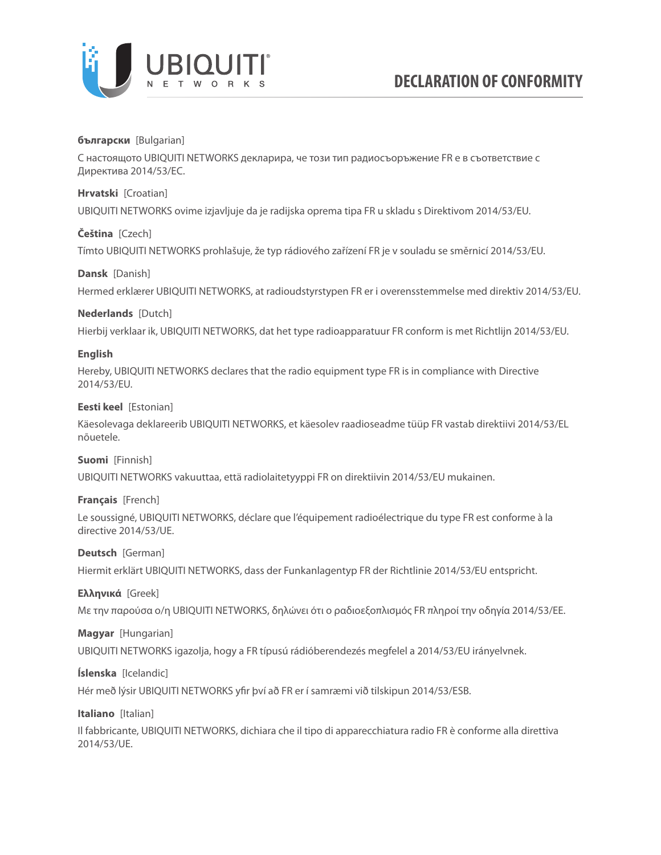

## **български** [Bulgarian]

С настоящото UBIQUITI NETWORKS декларира, че този тип радиосъоръжение FR е в съответствие с Директива 2014/53/ЕС.

### **Hrvatski** [Croatian]

UBIQUITI NETWORKS ovime izjavljuje da je radijska oprema tipa FR u skladu s Direktivom 2014/53/EU.

### **Čeština** [Czech]

Tímto UBIQUITI NETWORKS prohlašuje, že typ rádiového zařízení FR je v souladu se směrnicí 2014/53/EU.

### **Dansk** [Danish]

Hermed erklærer UBIQUITI NETWORKS, at radioudstyrstypen FR er i overensstemmelse med direktiv 2014/53/EU.

### **Nederlands** [Dutch]

Hierbij verklaar ik, UBIQUITI NETWORKS, dat het type radioapparatuur FR conform is met Richtlijn 2014/53/EU.

### **English**

Hereby, UBIQUITI NETWORKS declares that the radio equipment type FR is in compliance with Directive 2014/53/EU.

### **Eesti keel** [Estonian]

Käesolevaga deklareerib UBIQUITI NETWORKS, et käesolev raadioseadme tüüp FR vastab direktiivi 2014/53/EL nõuetele.

#### **Suomi** [Finnish]

UBIQUITI NETWORKS vakuuttaa, että radiolaitetyyppi FR on direktiivin 2014/53/EU mukainen.

#### **Français** [French]

Le soussigné, UBIQUITI NETWORKS, déclare que l'équipement radioélectrique du type FR est conforme à la directive 2014/53/UE.

### **Deutsch** [German]

Hiermit erklärt UBIQUITI NETWORKS, dass der Funkanlagentyp FR der Richtlinie 2014/53/EU entspricht.

### **Ελληνικά** [Greek]

Με την παρούσα ο/η UBIQUITI NETWORKS, δηλώνει ότι ο ραδιοεξοπλισμός FR πληροί την οδηγία 2014/53/ΕΕ.

## **Magyar** [Hungarian]

UBIQUITI NETWORKS igazolja, hogy a FR típusú rádióberendezés megfelel a 2014/53/EU irányelvnek.

### **Íslenska** [Icelandic]

Hér með lýsir UBIQUITI NETWORKS yfir því að FR er í samræmi við tilskipun 2014/53/ESB.

## **Italiano** [Italian]

Il fabbricante, UBIQUITI NETWORKS, dichiara che il tipo di apparecchiatura radio FR è conforme alla direttiva 2014/53/UE.